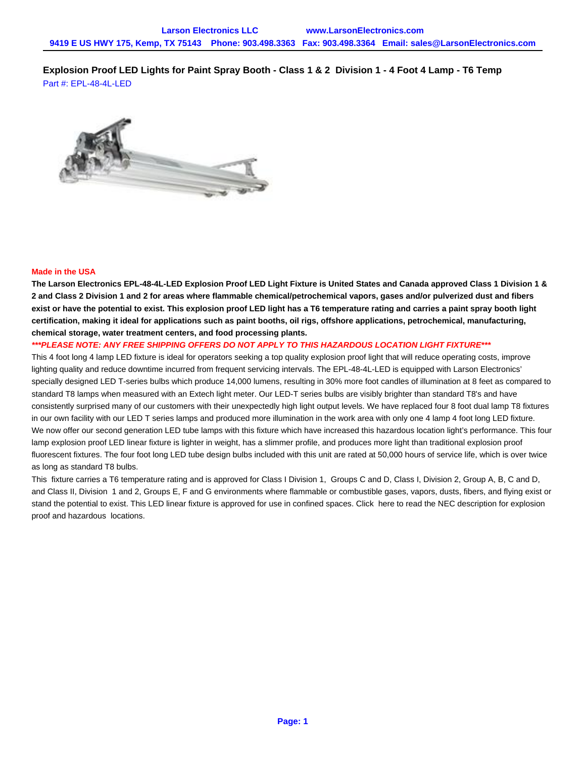# **Explosion Proof LED Lights for Paint Spray Booth - Class 1 & 2 Division 1 - 4 Foot 4 Lamp - T6 Temp** Part #: EPL-48-4L-LED



#### **Made in the USA**

**The Larson Electronics EPL-48-4L-LED Explosion Proof LED Light Fixture is United States and Canada approved Class 1 Division 1 & 2 and Class 2 Division 1 and 2 for areas where flammable chemical/petrochemical vapors, gases and/or pulverized dust and fibers exist or have the potential to exist. This explosion proof LED light has a T6 temperature rating and carries a paint spray booth light certification, making it ideal for applications such as paint booths, oil rigs, offshore applications, petrochemical, manufacturing, chemical storage, water treatment centers, and food processing plants.**

#### **\*\*\*PLEASE NOTE: ANY FREE SHIPPING OFFERS DO NOT APPLY TO THIS HAZARDOUS LOCATION LIGHT FIXTURE\*\*\***

This 4 foot long 4 lamp LED fixture is ideal for operators seeking a top quality explosion proof light that will reduce operating costs, improve lighting quality and reduce downtime incurred from frequent servicing intervals. The EPL-48-4L-LED is equipped with Larson Electronics' specially designed LED T-series bulbs which produce 14,000 lumens, resulting in 30% more foot candles of illumination at 8 feet as compared to standard T8 lamps when measured with an Extech light meter. Our LED-T series bulbs are visibly brighter than standard T8's and have consistently surprised many of our customers with their unexpectedly high light output levels. We have replaced four 8 foot dual lamp T8 fixtures in our own facility with our LED T series lamps and produced more illumination in the work area with only one 4 lamp 4 foot long LED fixture. We now offer our second generation LED tube lamps with this fixture which have increased this hazardous location light's performance. This four lamp explosion proof LED linear fixture is lighter in weight, has a slimmer profile, and produces more light than traditional explosion proof fluorescent fixtures. The four foot long LED tube design bulbs included with this unit are rated at 50,000 hours of service life, which is over twice as long as standard T8 bulbs.

This fixture carries a T6 temperature rating and is approved for Class I Division 1, Groups C and D, Class I, Division 2, Group A, B, C and D, and Class II, Division 1 and 2, Groups E, F and G environments where flammable or combustible gases, vapors, dusts, fibers, and flying exist or stand the potential to exist. This LED linear fixture is approved for use in confined spaces. [Click here to read the NEC description for explosion](http://www.larsonelectronics.com/pdfdocs/Click%20for%20Description%20of%20NEC%20Hazardous%20Location%20Classes.pdf) [proof and hazardous locations.](http://www.larsonelectronics.com/pdfdocs/Click%20for%20Description%20of%20NEC%20Hazardous%20Location%20Classes.pdf)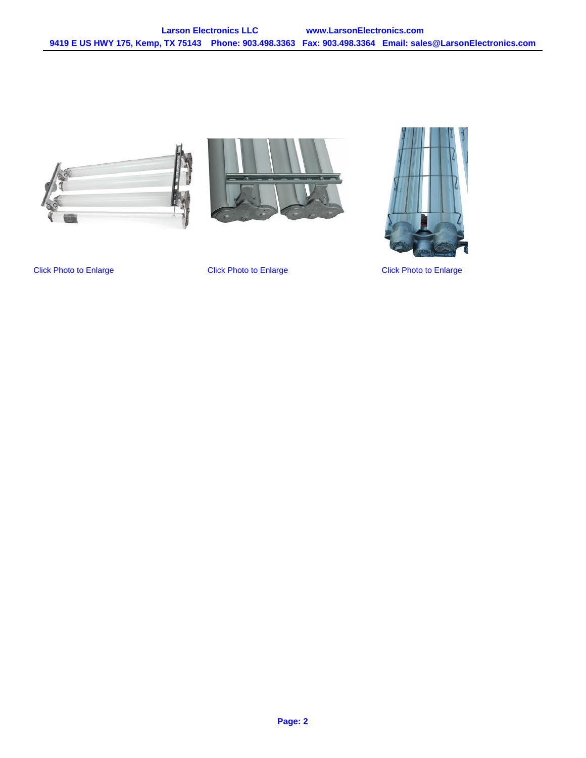





Click Photo to Enlarge Click Photo to Enlarge Click Photo to Enlarge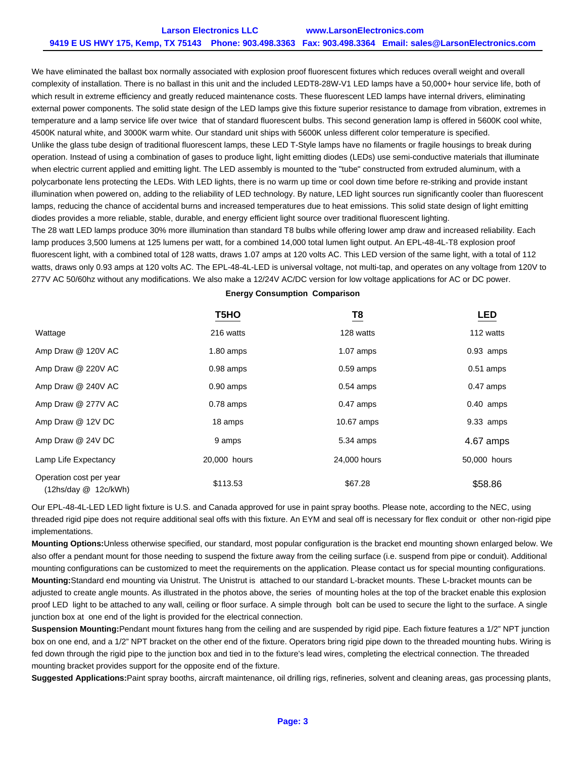We have eliminated the ballast box normally associated with explosion proof fluorescent fixtures which reduces overall weight and overall complexity of installation. There is no ballast in this unit and the included [LEDT8-28W-V1](http://www.larsonelectronics.com/p-64280-28-watt-led-bulb-4-foot-t8-lamp-2750-lumens-replacement-or-upgrade-for-fluorescent-lights.aspx) LED lamps have a 50,000+ hour service life, both of which result in extreme efficiency and greatly reduced maintenance costs. These fluorescent LED lamps have internal drivers, eliminating external power components. The solid state design of the LED lamps give this fixture superior resistance to damage from vibration, extremes in temperature and a lamp service life over twice that of standard fluorescent bulbs. This second generation lamp is offered in 5600K cool white, 4500K natural white, and 3000K warm white. Our standard unit ships with 5600K unless different color temperature is specified. Unlike the glass tube design of traditional fluorescent lamps, these LED T-Style lamps have no filaments or fragile housings to break during operation. Instead of using a combination of gases to produce light, light emitting diodes (LEDs) use semi-conductive materials that illuminate when electric current applied and emitting light. The LED assembly is mounted to the "tube" constructed from extruded aluminum, with a polycarbonate lens protecting the LEDs. With LED lights, there is no warm up time or cool down time before re-striking and provide instant illumination when powered on, adding to the reliability of LED technology. By nature, LED light sources run significantly cooler than fluorescent lamps, reducing the chance of accidental burns and increased temperatures due to heat emissions. This solid state design of light emitting diodes provides a more reliable, stable, durable, and energy efficient light source over traditional fluorescent lighting.

The 28 watt LED lamps produce 30% more illumination than standard T8 bulbs while offering lower amp draw and increased reliability. Each lamp produces 3,500 lumens at 125 lumens per watt, for a combined 14,000 total lumen light output. An EPL-48-4L-T8 explosion proof fluorescent light, with a combined total of 128 watts, draws 1.07 amps at 120 volts AC. This LED version of the same light, with a total of 112 watts, draws only 0.93 amps at 120 volts AC. The EPL-48-4L-LED is universal voltage, not multi-tap, and operates on any voltage from 120V to 277V AC 50/60hz without any modifications. We also make a 12/24V AC/DC version for low voltage applications for AC or DC power.

|                                                  | T <sub>5</sub> HO | T8           | <b>LED</b>   |
|--------------------------------------------------|-------------------|--------------|--------------|
| Wattage                                          | 216 watts         | 128 watts    | 112 watts    |
| Amp Draw @ 120V AC                               | $1.80$ amps       | $1.07$ amps  | $0.93$ amps  |
| Amp Draw @ 220V AC                               | $0.98$ amps       | $0.59$ amps  | $0.51$ amps  |
| Amp Draw @ 240V AC                               | $0.90$ amps       | $0.54$ amps  | $0.47$ amps  |
| Amp Draw @ 277V AC                               | $0.78$ amps       | $0.47$ amps  | $0.40$ amps  |
| Amp Draw @ 12V DC                                | 18 amps           | 10.67 amps   | $9.33$ amps  |
| Amp Draw @ 24V DC                                | 9 amps            | 5.34 amps    | $4.67$ amps  |
| Lamp Life Expectancy                             | 20,000 hours      | 24,000 hours | 50,000 hours |
| Operation cost per year<br>(12h/s/day @ 12c/kWh) | \$113.53          | \$67.28      | \$58.86      |

#### **Energy Consumption Comparison**

Our EPL-48-4L-LED LED light fixture is U.S. and Canada approved for use in paint spray booths. Please note, according to the NEC, using threaded rigid pipe does not require additional seal offs with this fixture. An EYM and seal off is necessary for flex conduit or other non-rigid pipe implementations.

**Mounting Options:**Unless otherwise specified, our standard, most popular configuration is the bracket end mounting shown enlarged below. We also offer a pendant mount for those needing to suspend the fixture away from the ceiling surface (i.e. suspend from pipe or conduit). Additional mounting configurations can be customized to meet the requirements on the application. Please contact us for special mounting configurations. **Mounting:**Standard end mounting via Unistrut. The Unistrut is attached to our standard L-bracket mounts. These L-bracket mounts can be adjusted to create angle mounts. As illustrated in the photos above, the series of mounting holes at the top of the bracket enable this explosion proof LED light to be attached to any wall, ceiling or floor surface. A simple through bolt can be used to secure the light to the surface. A single junction box at one end of the light is provided for the electrical connection.

**Suspension Mounting:**Pendant mount fixtures hang from the ceiling and are suspended by rigid pipe. Each fixture features a 1/2" NPT junction box on one end, and a 1/2" NPT bracket on the other end of the fixture. Operators bring rigid pipe down to the threaded mounting hubs. Wiring is fed down through the rigid pipe to the junction box and tied in to the fixture's lead wires, completing the electrical connection. The threaded mounting bracket provides support for the opposite end of the fixture.

**Suggested Applications:**Paint spray booths, aircraft maintenance, oil drilling rigs, refineries, solvent and cleaning areas, gas processing plants,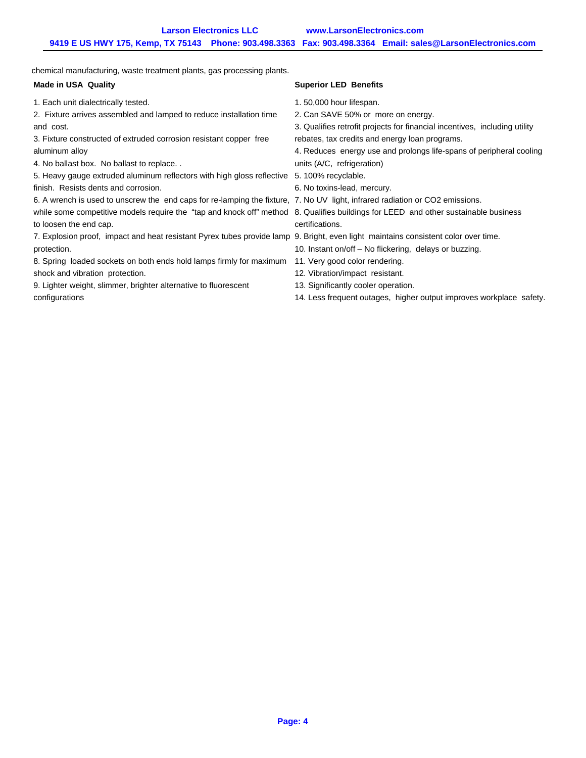chemical manufacturing, waste treatment plants, gas processing plants.

1. Each unit dialectrically tested.

2. Fixture arrives assembled and lamped to reduce installation time and cost.

3. Fixture constructed of extruded corrosion resistant copper free aluminum alloy

4. No ballast box. No ballast to replace. .

5. Heavy gauge extruded aluminum reflectors with high gloss reflective 5. 100% recyclable. finish. Resists dents and corrosion.

6. A wrench is used to unscrew the end caps for re-lamping the fixture, 7. No UV light, infrared radiation or CO2 emissions. while some competitive models require the "tap and knock off" method 8. Qualifies buildings for LEED and other sustainable business to loosen the end cap.

7. Explosion proof, impact and heat resistant Pyrex tubes provide lamp 9. Bright, even light maintains consistent color over time. protection.

8. Spring loaded sockets on both ends hold lamps firmly for maximum shock and vibration protection.

9. Lighter weight, slimmer, brighter alternative to fluorescent configurations

### **Made in USA Quality Superior LED Benefits Superior LED Benefits**

- 1. 50,000 hour lifespan.
- 2. Can SAVE 50% or more on energy.
- 3. Qualifies retrofit projects for financial incentives, including utility
- rebates, tax credits and energy loan programs.

4. Reduces energy use and prolongs life-spans of peripheral cooling units (A/C, refrigeration)

- 
- 6. No toxins-lead, mercury.
- 
- certifications.
- 
- 10. Instant on/off No flickering, delays or buzzing.
- 11. Very good color rendering.
- 12. Vibration/impact resistant.
- 13. Significantly cooler operation.
- 14. Less frequent outages, higher output improves workplace safety.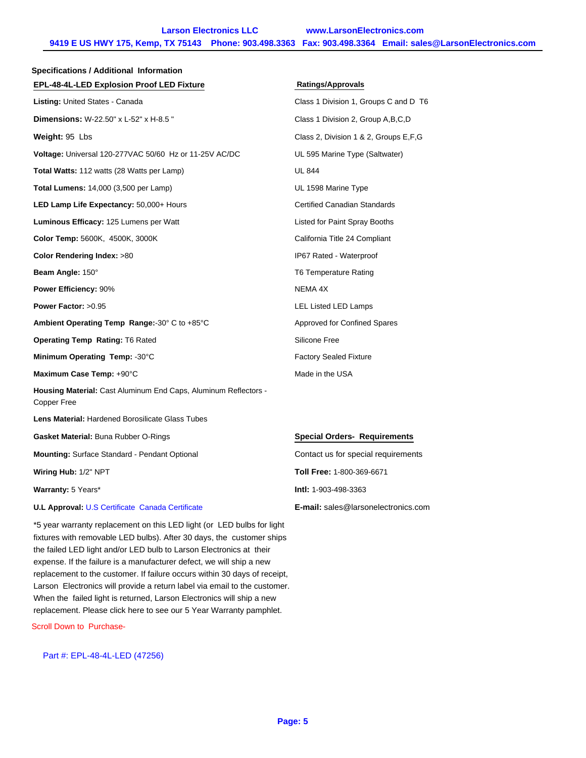**Larson Electronics LLC www.LarsonElectronics.com 9419 E US HWY 175, Kemp, TX 75143 Phone: 903.498.3363 Fax: 903.498.3364 Email: sales@LarsonElectronics.com**

| <b>Specifications / Additional Information</b>                                        |                                       |  |
|---------------------------------------------------------------------------------------|---------------------------------------|--|
| EPL-48-4L-LED Explosion Proof LED Fixture                                             | <b>Ratings/Approvals</b>              |  |
| <b>Listing: United States - Canada</b>                                                | Class 1 Division 1, Groups C and D T6 |  |
| <b>Dimensions:</b> W-22.50" x L-52" x H-8.5 "                                         | Class 1 Division 2, Group A, B, C, D  |  |
| Weight: 95 Lbs                                                                        | Class 2, Division 1 & 2, Groups E,F,G |  |
| Voltage: Universal 120-277VAC 50/60 Hz or 11-25V AC/DC                                | UL 595 Marine Type (Saltwater)        |  |
| <b>Total Watts: 112 watts (28 Watts per Lamp)</b>                                     | <b>UL 844</b>                         |  |
| Total Lumens: 14,000 (3,500 per Lamp)                                                 | UL 1598 Marine Type                   |  |
| LED Lamp Life Expectancy: 50,000+ Hours                                               | <b>Certified Canadian Standards</b>   |  |
| <b>Luminous Efficacy: 125 Lumens per Watt</b>                                         | Listed for Paint Spray Booths         |  |
| Color Temp: 5600K, 4500K, 3000K                                                       | California Title 24 Compliant         |  |
| Color Rendering Index: >80                                                            | IP67 Rated - Waterproof               |  |
| Beam Angle: 150°                                                                      | T6 Temperature Rating                 |  |
| <b>Power Efficiency: 90%</b>                                                          | NEMA 4X                               |  |
| Power Factor: >0.95                                                                   | <b>LEL Listed LED Lamps</b>           |  |
| Ambient Operating Temp Range:-30° C to +85°C                                          | <b>Approved for Confined Spares</b>   |  |
| <b>Operating Temp Rating: T6 Rated</b>                                                | Silicone Free                         |  |
| Minimum Operating Temp: -30°C                                                         | <b>Factory Sealed Fixture</b>         |  |
| Maximum Case Temp: +90°C                                                              | Made in the USA                       |  |
| Housing Material: Cast Aluminum End Caps, Aluminum Reflectors -<br><b>Copper Free</b> |                                       |  |

**Lens Material:** Hardened Borosilicate Glass Tubes

**Mounting:** Surface Standard - Pendant Optional Contact us for special requirements

**U.L Approval:** [U.S Certificate](https://www.larsonelectronics.com/PDFDocs/ULCertificationUS.pdf)[Canada Certificate](https://www.larsonelectronics.com/PDFDocs/CULCertificationCanada.pdf) **E-mail:** [sales@larsonelectronics.com](mailto:sales@larsonelectronics.com)

\*5 year warranty replacement on this LED light (or LED bulbs for light fixtures with removable LED bulbs). After 30 days, the customer ships the failed LED light and/or LED bulb to Larson Electronics at their expense. If the failure is a manufacturer defect, we will ship a new replacement to the customer. If failure occurs within 30 days of receipt, Larson Electronics will provide a return label via email to the customer. When the failed light is returned, Larson Electronics will ship a new replacement. [Please click here to see our 5 Year Warranty pamphlet.](https://www.larsonelectronics.com/PDFDocs/LE-2015-5-Year.pdf)

Scroll Down to Purchase-

Part #: EPL-48-4L-LED (47256)

## **Gasket Material:** Buna Rubber O-Rings **Special Orders- Requirements**

**Wiring Hub:** 1/2" NPT **Toll Free:** 1-800-369-6671 **Warranty:** 5 Years\* **Intl:** 1-903-498-3363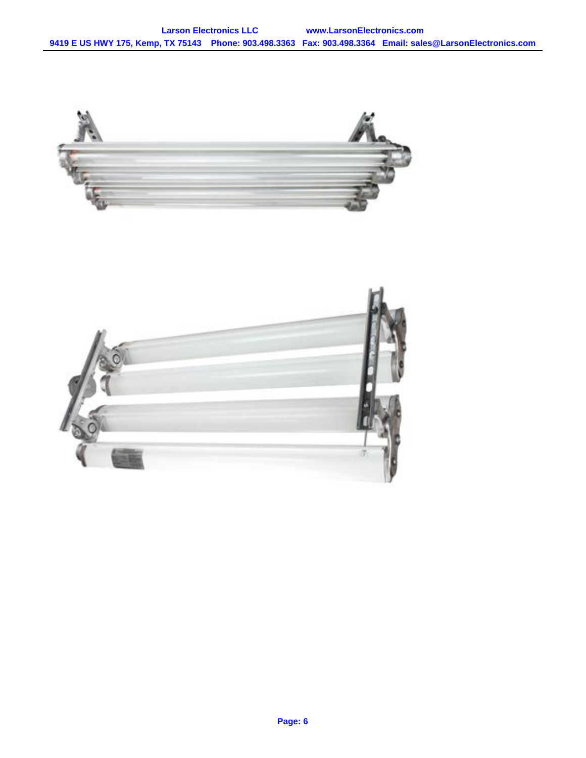

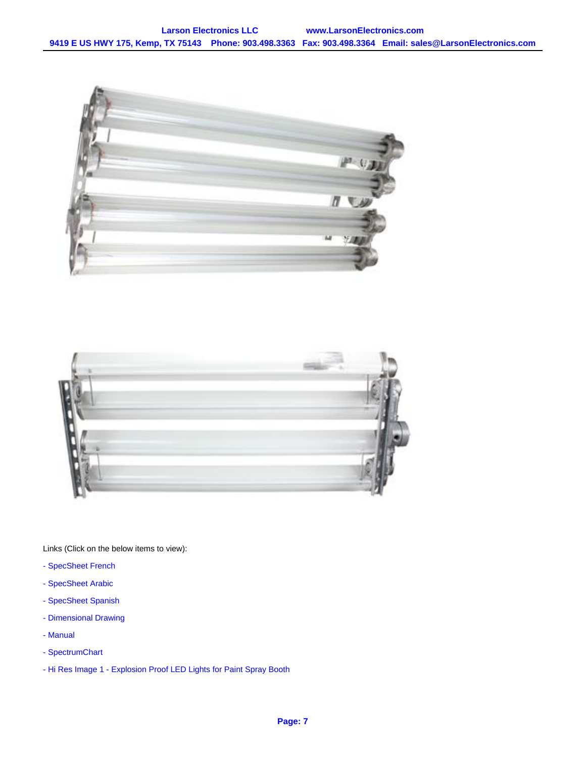



Links (Click on the below items to view):

- - [SpecSheet French](http://www.larsonelectronics.com/images/product/specsheetfrench/47256.pdf)
- - [SpecSheet Arabic](http://www.larsonelectronics.com/images/product/specsheetarabic/47256.pdf)
- - [SpecSheet Spanish](http://www.larsonelectronics.com/images/product/specsheetspanish/47256.pdf)
- - [Dimensional Drawing](http://www.larsonelectronics.com/images/product/dimensionaldrawing/47256.pdf)
- - [Manual](http://www.larsonelectronics.com/images/product/manual/47256.pdf)
- - [SpectrumChart](http://www.larsonelectronics.com/images/product/spectrumchart/47256.pdf)
- - [Hi Res Image 1 Explosion Proof LED Lights for Paint Spray Booth](http://www.larsonelectronics.com/images/product/higrespic1/47256.jpg)